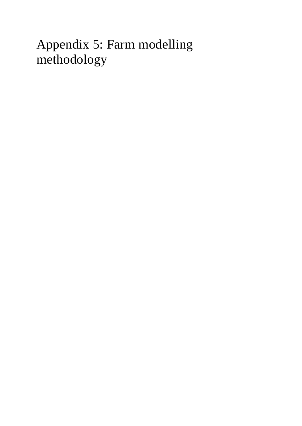# Appendix 5: Farm modelling methodology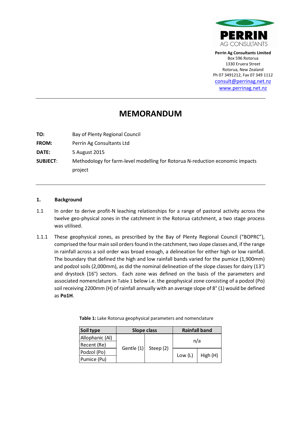

**Perrin Ag Consultants Limited**  Box 596 Rotorua 1330 Eruera Street Rotorua, New Zealand Ph 07 3491212, Fax 07 349 1112 consult@perrinag.net.nz www.perrinag.net.nz

## **MEMORANDUM**

**TO:** Bay of Plenty Regional Council **FROM:** Perrin Ag Consultants Ltd **DATE:** 5 August 2015 **SUBJECT**: Methodology for farm-level modelling for Rotorua N-reduction economic impacts project

#### **1. Background**

- 1.1 In order to derive profit-N leaching relationships for a range of pastoral activity across the twelve geo-physical zones in the catchment in the Rotorua catchment, a two stage process was utilised.
- 1.1.1 These geophysical zones, as prescribed by the Bay of Plenty Regional Council ("BOPRC"), comprised the four main soil orders found in the catchment, two slope classes and, if the range in rainfall across a soil order was broad enough, a delineation for either high or low rainfall. The boundary that defined the high and low rainfall bands varied for the pumice (1,900mm) and podzol soils (2,000mm), as did the nominal delineation of the slope classes for dairy (13°) and drystock (16°) sectors. Each zone was defined on the basis of the parameters and associated nomenclature in Table 1 below i.e. the geophysical zone consisting of a podzol (Po) soil receiving 2200mm (H) of rainfall annually with an average slope of 8° (1) would be defined as **Po1H**.

| Soil type       | <b>Slope class</b> |           | <b>Rainfall band</b> |          |  |
|-----------------|--------------------|-----------|----------------------|----------|--|
| Allophanic (Al) |                    |           | n/a                  |          |  |
| Recent (Re)     | Gentle $(1)$       | Steep (2) |                      |          |  |
| Podzol (Po)     |                    |           |                      | High (H) |  |
| Pumice (Pu)     |                    |           | Low $(L)$            |          |  |

**Table 1:** Lake Rotorua geophysical parameters and nomenclature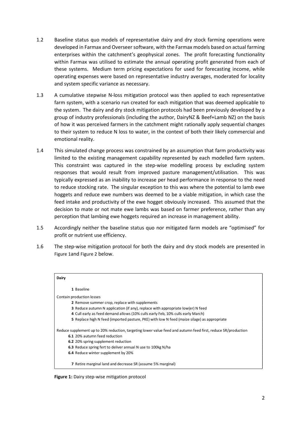- 1.2 Baseline status quo models of representative dairy and dry stock farming operations were developed in Farmax and Overseer software, with the Farmax models based on actual farming enterprises within the catchment's geophysical zones. The profit forecasting functionality within Farmax was utilised to estimate the annual operating profit generated from each of these systems. Medium term pricing expectations for used for forecasting income, while operating expenses were based on representative industry averages, moderated for locality and system specific variance as necessary.
- 1.3 A cumulative stepwise N-loss mitigation protocol was then applied to each representative farm system, with a scenario run created for each mitigation that was deemed applicable to the system. The dairy and dry stock mitigation protocols had been previously developed by a group of industry professionals (including the author, DairyNZ & Beef+Lamb NZ) on the basis of how it was perceived farmers in the catchment might rationally apply sequential changes to their system to reduce N loss to water, in the context of both their likely commercial and emotional reality.
- 1.4 This simulated change process was constrained by an assumption that farm productivity was limited to the existing management capability represented by each modelled farm system. This constraint was captured in the step-wise modelling process by excluding system responses that would result from improved pasture management/utilisation. This was typically expressed as an inability to increase per head performance in response to the need to reduce stocking rate. The singular exception to this was where the potential to lamb ewe hoggets and reduce ewe numbers was deemed to be a viable mitigation, in which case the feed intake and productivity of the ewe hogget obviously increased. This assumed that the decision to mate or not mate ewe lambs was based on farmer preference, rather than any perception that lambing ewe hoggets required an increase in management ability.
- 1.5 Accordingly neither the baseline status quo nor mitigated farm models are "optimised" for profit or nutrient use efficiency.
- 1.6 The step-wise mitigation protocol for both the dairy and dry stock models are presented in Figure 1and Figure 2 below.



**Figure 1:** Dairy step-wise mitigation protocol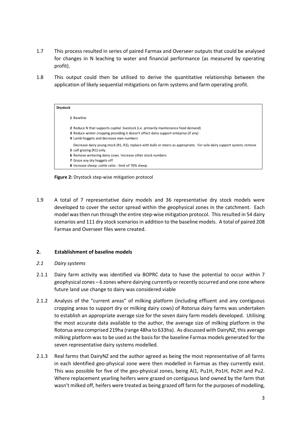- 1.7 This process resulted in series of paired Farmax and Overseer outputs that could be analysed for changes in N leaching to water and financial performance (as measured by operating profit).
- 1.8 This output could then be utilised to derive the quantitative relationship between the application of likely sequential mitigations on farm systems and farm operating profit.

| <b>Drystock</b> |                                                                                                                                                                                                                                                                                                           |
|-----------------|-----------------------------------------------------------------------------------------------------------------------------------------------------------------------------------------------------------------------------------------------------------------------------------------------------------|
|                 | 1 Baseline                                                                                                                                                                                                                                                                                                |
|                 | 2 Reduce N that supports capital livestock (i.e. primarily maintenance feed demand)<br><b>3</b> Reduce winter cropping providing it doesn't affect dairy support enteprise (if any)<br>4 Lamb hoggets and decrease ewe numbers                                                                            |
|                 | Decrease dairy young stock (R1, R2), replace with bulls or steers as appropriate. For sole dairy support system, remove<br>5 calf grazing (R1) only.<br>6 Remove wintering dairy cows. Increase other stock numbers<br>7 Graze any dry hoggets off<br>8 Increase sheep: cattle ratio - limit of 70% sheep |

**Figure 2:** Drystock step-wise mitigation protocol

1.9 A total of 7 representative dairy models and 36 representative dry stock models were developed to cover the sector spread within the geophysical zones in the catchment. Each model was then run through the entire step-wise mitigation protocol. This resulted in 54 dairy scenarios and 111 dry stock scenarios in addition to the baseline models. A total of paired 208 Farmax and Overseer files were created.

#### **2. Establishment of baseline models**

#### *2.1 Dairy systems*

- 2.1.1 Dairy farm activity was identified via BOPRC data to have the potential to occur within 7 geophysical zones – 6 zones where dairying currently or recently occurred and one zone where future land use change to dairy was considered viable
- 2.1.2 Analysis of the "current areas" of milking platform (including effluent and any contiguous cropping areas to support dry or milking dairy cows) of Rotorua dairy farms was undertaken to establish an appropriate average size for the seven dairy farm models developed. Utilising the most accurate data available to the author, the average size of milking platform in the Rotorua area comprised 219ha (range 48ha to 633ha). As discussed with DairyNZ, this average milking platform was to be used as the basis for the baseline Farmax models generated for the seven representative dairy systems modelled.
- 2.1.3 Real farms that DairyNZ and the author agreed as being the most representative of all farms in each identified geo-physical zone were then modelled in Farmax as they currently exist. This was possible for five of the geo-physical zones, being Al1, Pu1H, Po1H, Po2H and Pu2. Where replacement yearling heifers were grazed on contiguous land owned by the farm that wasn't milked off, heifers were treated as being grazed off farm for the purposes of modelling,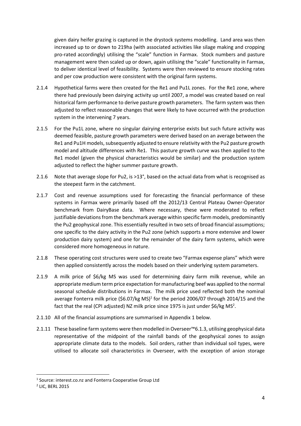given dairy heifer grazing is captured in the drystock systems modelling. Land area was then increased up to or down to 219ha (with associated activities like silage making and cropping pro-rated accordingly) utilising the "scale" function in Farmax. Stock numbers and pasture management were then scaled up or down, again utilising the "scale" functionality in Farmax, to deliver identical level of feasibility. Systems were then reviewed to ensure stocking rates and per cow production were consistent with the original farm systems.

- 2.1.4 Hypothetical farms were then created for the Re1 and Pu1L zones. For the Re1 zone, where there had previously been dairying activity up until 2007, a model was created based on real historical farm performance to derive pasture growth parameters. The farm system was then adjusted to reflect reasonable changes that were likely to have occurred with the production system in the intervening 7 years.
- 2.1.5 For the Pu1L zone, where no singular dairying enterprise exists but such future activity was deemed feasible, pasture growth parameters were derived based on an average between the Re1 and Pu1H models, subsequently adjusted to ensure relativity with the Pu2 pasture growth model and altitude differences with Re1. This pasture growth curve was then applied to the Re1 model (given the physical characteristics would be similar) and the production system adjusted to reflect the higher summer pasture growth.
- 2.1.6 Note that average slope for Pu2, is >13°, based on the actual data from what is recognised as the steepest farm in the catchment.
- 2.1.7 Cost and revenue assumptions used for forecasting the financial performance of these systems in Farmax were primarily based off the 2012/13 Central Plateau Owner-Operator benchmark from DairyBase data. Where necessary, these were moderated to reflect justifiable deviations from the benchmark average within specific farm models, predominantly the Pu2 geophysical zone. This essentially resulted in two sets of broad financial assumptions; one specific to the dairy activity in the Pu2 zone (which supports a more extensive and lower production dairy system) and one for the remainder of the dairy farm systems, which were considered more homogeneous in nature.
- 2.1.8 These operating cost structures were used to create two "Farmax expense plans" which were then applied consistently across the models based on their underlying system parameters.
- 2.1.9 A milk price of \$6/kg MS was used for determining dairy farm milk revenue, while an appropriate medium term price expectation for manufacturing beef was applied to the normal seasonal schedule distributions in Farmax. The milk price used reflected both the nominal average Fonterra milk price (\$6.07/kg MS)<sup>1</sup> for the period 2006/07 through 2014/15 and the fact that the real (CPI adjusted) NZ milk price since 1975 is just under \$6/kg MS<sup>2</sup>.
- 2.1.10 All of the financial assumptions are summarised in Appendix 1 below.
- 2.1.11 These baseline farm systems were then modelled in Overseer™6.1.3, utilising geophysical data representative of the midpoint of the rainfall bands of the geophysical zones to assign appropriate climate data to the models. Soil orders, rather than individual soil types, were utilised to allocate soil characteristics in Overseer, with the exception of anion storage

 $\overline{\phantom{0}}$ 

<sup>&</sup>lt;sup>1</sup> Source: interest.co.nz and Fonterra Cooperative Group Ltd

<sup>2</sup> LIC, BERL 2015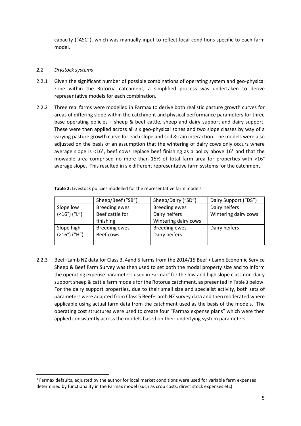capacity ("ASC"), which was manually input to reflect local conditions specific to each farm model.

#### *2.2 Drystock systems*

 $\overline{\phantom{0}}$ 

- 2.2.1 Given the significant number of possible combinations of operating system and geo-physical zone within the Rotorua catchment, a simplified process was undertaken to derive representative models for each combination.
- 2.2.2 Three real farms were modelled in Farmax to derive both realistic pasture growth curves for areas of differing slope within the catchment and physical performance parameters for three base operating policies – sheep & beef cattle, sheep and dairy support and dairy support. These were then applied across all six geo-physical zones and two slope classes by way of a varying pasture growth curve for each slope and soil & rain interaction. The models were also adjusted on the basis of an assumption that the wintering of dairy cows only occurs where average slope is <16°, beef cows replace beef finishing as a policy above 16° and that the mowable area comprised no more than 15% of total farm area for properties with >16° average slope. This resulted in six different representative farm systems for the catchment.

|                                   | Sheep/Beef ("SB")    | Sheep/Dairy ("SD")   | Dairy Support ("DS") |
|-----------------------------------|----------------------|----------------------|----------------------|
| Slope low                         | <b>Breeding ewes</b> | <b>Breeding ewes</b> | Dairy heifers        |
| $($ < 16 $^{\circ}$ ) $($ "L" $)$ | Beef cattle for      | Dairy heifers        | Wintering dairy cows |
|                                   | finishing            | Wintering dairy cows |                      |
| Slope high                        | <b>Breeding ewes</b> | Breeding ewes        | Dairy heifers        |
| $(>16°)$ ("H")                    | Beef cows            | Dairy heifers        |                      |
|                                   |                      |                      |                      |

**Table 2:** Livestock policies modelled for the representative farm models

2.2.3 Beef+Lamb NZ data for Class 3, 4and 5 farms from the 2014/15 Beef + Lamb Economic Service Sheep & Beef Farm Survey was then used to set both the modal property size and to inform the operating expense parameters used in Farmax<sup>3</sup> for the low and high slope class non-dairy support sheep & cattle farm models for the Rotorua catchment, as presented in Table 3 below. For the dairy support properties, due to their small size and specialist activity, both sets of parameters were adapted from Class 5 Beef+Lamb NZ survey data and then moderated where applicable using actual farm data from the catchment used as the basis of the models. The operating cost structures were used to create four "Farmax expense plans" which were then applied consistently across the models based on their underlying system parameters.

<sup>&</sup>lt;sup>3</sup> Farmax defaults, adjusted by the author for local market conditions were used for variable farm expenses determined by functionality in the Farmax model (such as crop costs, direct stock expenses etc)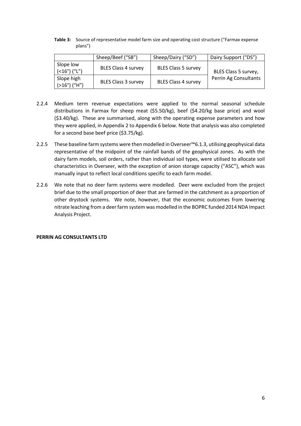**Table 3:** Source of representative model farm size and operating cost structure ("Farmax expense plans")

|                                             | Sheep/Beef ("SB")          | Sheep/Dairy ("SD")         | Dairy Support ("DS")  |
|---------------------------------------------|----------------------------|----------------------------|-----------------------|
| Slope low<br>$($ < 16 $^{\circ}$ ) $($ "L") | <b>BLES Class 4 survey</b> | <b>BLES Class 5 survey</b> | BLES Class 5 survey,  |
| Slope high<br>$(>16°)$ ("H")                | <b>BLES Class 3 survey</b> | <b>BLES Class 4 survey</b> | Perrin Ag Consultants |

- 2.2.4 Medium term revenue expectations were applied to the normal seasonal schedule distributions in Farmax for sheep meat (\$5.50/kg), beef (\$4.20/kg base price) and wool (\$3.40/kg). These are summarised, along with the operating expense parameters and how they were applied, in Appendix 2 to Appendix 6 below. Note that analysis was also completed for a second base beef price (\$3.75/kg).
- 2.2.5 These baseline farm systems were then modelled in Overseer™6.1.3, utilising geophysical data representative of the midpoint of the rainfall bands of the geophysical zones. As with the dairy farm models, soil orders, rather than individual soil types, were utilised to allocate soil characteristics in Overseer, with the exception of anion storage capacity ("ASC"), which was manually input to reflect local conditions specific to each farm model.
- 2.2.6 We note that no deer farm systems were modelled. Deer were excluded from the project brief due to the small proportion of deer that are farmed in the catchment as a proportion of other drystock systems. We note, however, that the economic outcomes from lowering nitrate leaching from a deer farm system was modelled in the BOPRC funded 2014 NDA Impact Analysis Project.

#### **PERRIN AG CONSULTANTS LTD**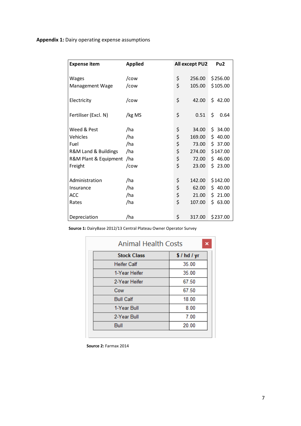## **Appendix 1:** Dairy operating expense assumptions

| <b>Expense item</b>   | <b>Applied</b> | All except PU2 | Pu <sub>2</sub> |
|-----------------------|----------------|----------------|-----------------|
| Wages                 | /cow           | \$<br>256.00   | \$256.00        |
| Management Wage       | /cow           | \$<br>105.00   | \$105.00        |
| Electricity           | /cow           | \$<br>42.00    | \$42.00         |
| Fertiliser (Excl. N)  | /kg MS         | \$<br>0.51     | \$<br>0.64      |
| Weed & Pest           | /ha            | \$<br>34.00    | \$.<br>34.00    |
| Vehicles              | /ha            | \$<br>169.00   | \$.<br>40.00    |
| Fuel                  | /ha            | \$<br>73.00    | \$37.00         |
| R&M Land & Buildings  | /ha            | \$<br>274.00   | \$147.00        |
| R&M Plant & Equipment | /ha            | \$<br>72.00    | \$46.00         |
| Freight               | /cow           | \$<br>23.00    | Ś.<br>23.00     |
| Administration        | /ha            | \$<br>142.00   | \$142.00        |
| Insurance             | /ha            | \$<br>62.00    | \$40.00         |
| <b>ACC</b>            | /ha            | \$<br>21.00    | 21.00<br>Ś.     |
| Rates                 | /ha            | \$<br>107.00   | \$63.00         |
| Depreciation          | /ha            | \$<br>317.00   | \$237.00        |

**Source 1:** DairyBase 2012/13 Central Plateau Owner Operator Survey

| <b>Animal Health Costs</b><br>× |          |  |  |  |  |  |
|---------------------------------|----------|--|--|--|--|--|
| <b>Stock Class</b>              | \$/hd/yr |  |  |  |  |  |
| <b>Heifer Calf</b>              | 35.00    |  |  |  |  |  |
| 1-Year Heifer                   | 35.00    |  |  |  |  |  |
| 2-Year Heifer                   | 67.50    |  |  |  |  |  |
| Cow                             | 67.50    |  |  |  |  |  |
| <b>Bull Calf</b>                | 18.00    |  |  |  |  |  |
| 1-Year Bull                     | 8.00     |  |  |  |  |  |
| 2-Year Bull                     | 7.00     |  |  |  |  |  |
| Bull                            | 20.00    |  |  |  |  |  |

**Source 2:** Farmax 2014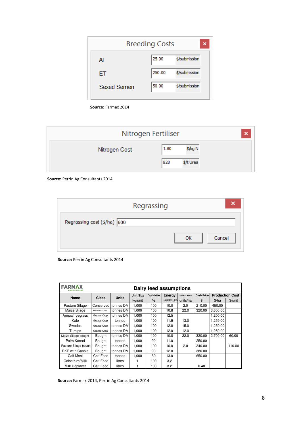| <b>Breeding Costs</b><br>× |               |  |  |  |  |  |  |
|----------------------------|---------------|--|--|--|--|--|--|
| 25.00                      | \$/submission |  |  |  |  |  |  |
| 250.00                     | \$/submission |  |  |  |  |  |  |
| 50.00                      | \$/submission |  |  |  |  |  |  |
|                            |               |  |  |  |  |  |  |

**Source:** Farmax 2014

|  | Nitrogen Fertiliser | ×    |           |  |
|--|---------------------|------|-----------|--|
|  | Nitrogen Cost       | 1.80 | \$/kg N   |  |
|  |                     | 828  | \$/t Urea |  |

**Source:** Perrin Ag Consultants 2014

|                             | Regrassing |    |        |
|-----------------------------|------------|----|--------|
| Regrassing cost (\$/ha) 600 |            |    |        |
|                             |            | ок | Cancel |

**Source:** Perrin Ag Consultants 2014

| <b>FARMAX</b><br>YOUR ADVANTAGE | Dairy feed assumptions |              |                  |                   |           |                      |                   |                        |         |
|---------------------------------|------------------------|--------------|------------------|-------------------|-----------|----------------------|-------------------|------------------------|---------|
|                                 |                        |              | <b>Unit Size</b> | <b>Dry Matter</b> | Energy    | <b>Default Yield</b> | <b>Cash Price</b> | <b>Production Cost</b> |         |
| <b>Name</b>                     | <b>Class</b>           | <b>Units</b> | kg/unit          | $\%$              | MJME/kgDM | units/ha             | \$                | \$/ha                  | \$/unit |
| Pasture Silage                  | Conserved              | tonnes DM    | 1,000            | 100               | 10.0      | 2.0                  | 210.00            | 450.00                 |         |
| Maize Silage                    | Harvested Crop         | tonnes DM    | 1,000            | 100               | 10.8      | 22.0                 | 320.00            | 3,600.00               |         |
| Annual ryegrass                 | Grazed Crop            | tonnes DM    | 1,000            | 100               | 12.5      |                      |                   | 1,200.00               |         |
| Kale                            | Grazed Crop            | tonnes       | 1,000            | 100               | 11.5      | 13.0                 |                   | 1,259.00               |         |
| Swedes                          | Grazed Crop            | tonnes DM    | 1,000            | 100               | 12.8      | 15.0                 |                   | 1,259.00               |         |
| Turnips                         | Grazed Crop            | tonnes DM    | 1,000            | 100               | 12.0      | 12.0                 |                   | 1,259.00               |         |
| Maize Silage bought             | Bought                 | tonnes DM    | 1,000            | 100               | 10.8      | 22.0                 | 320.00            | 2,700.00               | 60.00   |
| Palm Kernel                     | Bought                 | tonnes       | 1,000            | 90                | 11.0      |                      | 250.00            |                        |         |
| Pasture Silage bought           | Bought                 | tonnes DM    | 1,000            | 100               | 10.0      | 2.0                  | 340.00            |                        | 110.00  |
| PKE with Canola                 | <b>Bought</b>          | tonnes DM    | 1,000            | 90                | 12.0      |                      | 380.00            |                        |         |
| Calf Meal                       | Calf Feed              | tonnes       | 1.000            | 89                | 13.0      |                      | 650.00            |                        |         |
| Colostrum/Milk                  | Calf Feed              | litres       |                  | 100               | 3.2       |                      |                   |                        |         |
| Milk Replacer                   | Calf Feed              | litres       |                  | 100               | 3.2       |                      | 0.40              |                        |         |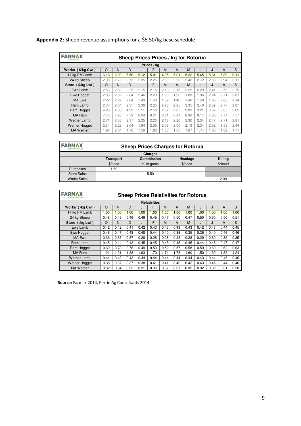## **Appendix 2:** Sheep revenue assumptions for a \$5.50/kg base schedule

| <b>FARMAX</b><br>Sheep Prices Prices / kg for Rotorua<br>YOUR ADVANTAGE |          |      |      |      |             |      |      |      |      |      |      |      |
|-------------------------------------------------------------------------|----------|------|------|------|-------------|------|------|------|------|------|------|------|
|                                                                         |          |      |      |      | Prices / kg |      |      |      |      |      |      |      |
| Works (\$/kg Cwt)                                                       | $\Omega$ | N    | D    | J    | F           | M    | A    | M    | J    | J    | A    | S    |
| 17 kg PM Lamb                                                           | 6.16     | 6.00 | 5.50 | 5.12 | 5.01        | 4.95 | 5.01 | 5.22 | 5.45 | 5.61 | 5.89 | 6.11 |
| 24 kg Sheep                                                             | 2.96     | 2.76 | 2.53 | 2.35 | 2.25        | 2.33 | 2.50 | 2.46 | 2.72 | 2.80 | 2.94 | 3.11 |
| Store (\$/kg Lwt)                                                       | $\Omega$ | N    | D    | J.   | F           | M    | A    | M    | J    | J    | A    | S    |
| Ewe Lamb                                                                | 2.59     | 2.52 | 2.25 | 2.15 | 2.15        | 2.13 | 2.15 | 2.25 | 2.29 | 2.41 | 2.59 | 2.75 |
| Ewe Hogget                                                              | 2.83     | 2.82 | 2.64 | 2.46 | 2.20        | 1.98 | 1.90 | 1.83 | 1.96 | 2.24 | 2.71 | 2.81 |
| MA Ewe                                                                  | 2.22     | 2.22 | 2.04 | 1.43 | 1.40        | 1.39 | 1.40 | 1.46 | 1.58 | 1.68 | 2.06 | 2.14 |
| Ram Lamb                                                                | 2.77     | 2.64 | 2.37 | 2.30 | 2.25        | 2.23 | 2.25 | 2.35 | 2.40 | 2.52 | 2.77 | 2.87 |
| Ram Hogget                                                              | 4.25     | 4.38 | 4.29 | 2.51 | 2.50        | 2.57 | 2.85 | 3.03 | 3.21 | 3.37 | 3.65 | 3.85 |
| MA Ram                                                                  | 7.45     | 7.25 | 7.59 | 8.34 | 8.51        | 8.61 | 8.91 | 8.36 | 8.17 | 7.80 | 7.77 | 7.57 |
| Wether Lamb                                                             | 2.71     | 2.58 | 2.37 | 2.25 | 2.20        | 2.18 | 2.20 | 2.30 | 2.34 | 2.47 | 2.71 | 2.81 |
| <b>Wether Hogget</b>                                                    | 2.34     | 2.22 | 2.04 | 1.94 | 2.05        | 2.03 | 2.00 | 2.19 | 2.34 | 2.52 | 2.59 | 2.44 |
| <b>MA Wether</b>                                                        | 1.97     | 2.04 | 1.76 | 1.59 | 1.80        | 1.83 | 1.85 | 1.67 | 1.74 | 1.80 | 1.82 | 1.71 |

| <b>FARMAX</b><br>YOUR ADVANTAGE | <b>Sheep Prices Charges for Rotorua</b> |                   |         |         |  |  |  |
|---------------------------------|-----------------------------------------|-------------------|---------|---------|--|--|--|
| <b>Charges</b>                  |                                         |                   |         |         |  |  |  |
|                                 | <b>Transport</b>                        | <b>Commission</b> | Headage | Killing |  |  |  |
|                                 | \$/head                                 | % of gross        | \$/head | \$/head |  |  |  |
| Purchases                       | 1.50                                    |                   |         |         |  |  |  |
| <b>Store Sales</b>              |                                         | 5.50              |         |         |  |  |  |
| <b>Works Sales</b>              |                                         |                   |         | 2.00    |  |  |  |

| <b>FARMAX</b><br>YOUR ADVANTAGE | <b>Sheep Prices Relativities for Rotorua</b> |      |      |      |      |      |      |      |      |      |      |      |
|---------------------------------|----------------------------------------------|------|------|------|------|------|------|------|------|------|------|------|
|                                 | <b>Relativities</b>                          |      |      |      |      |      |      |      |      |      |      |      |
| Works (/kg Cwt)                 | $\circ$                                      | N    | D    | J    | F    | М    | A    | M    | J    | J    | A    | S    |
| 17 kg PM Lamb                   | 1.00                                         | 1.00 | 1.00 | 1.00 | 1.00 | 1.00 | 1.00 | 1.00 | 1.00 | 1.00 | 1.00 | 1.00 |
| 24 kg Sheep                     | 0.48                                         | 0.46 | 0.46 | 0.46 | 0.45 | 0.47 | 0.50 | 0.47 | 0.50 | 0.50 | 0.50 | 0.51 |
| Store (/kg Lwt)                 | O                                            | N    | D    | J    | F    | М    | A    | M    | J    | J    | A    | S    |
| Ewe Lamb                        | 0.42                                         | 0.42 | 0.41 | 0.42 | 0.43 | 0.43 | 0.43 | 0.43 | 0.42 | 0.43 | 0.44 | 0.45 |
| Ewe Hogget                      | 0.46                                         | 0.47 | 0.48 | 0.48 | 0.44 | 0.40 | 0.38 | 0.35 | 0.36 | 0.40 | 0.46 | 0.46 |
| MA Ewe                          | 0.36                                         | 0.37 | 0.37 | 0.28 | 0.28 | 0.28 | 0.28 | 0.28 | 0.29 | 0.30 | 0.35 | 0.35 |
| Ram Lamb                        | 0.45                                         | 0.44 | 0.43 | 0.45 | 0.45 | 0.45 | 0.45 | 0.45 | 0.44 | 0.45 | 0.47 | 0.47 |
| Ram Hogget                      | 0.69                                         | 0.73 | 0.78 | 0.49 | 0.50 | 0.52 | 0.57 | 0.58 | 0.59 | 0.60 | 0.62 | 0.63 |
| <b>MA Ram</b>                   | 1.21                                         | 1.21 | 1.38 | 1.63 | 1.70 | 1.74 | 1.78 | 1.60 | 1.50 | 1.39 | 1.32 | 1.24 |
| <b>Wether Lamb</b>              | 0.44                                         | 0.43 | 0.43 | 0.44 | 0.44 | 0.44 | 0.44 | 0.44 | 0.43 | 0.44 | 0.46 | 0.46 |
| <b>Wether Hogget</b>            | 0.38                                         | 0.37 | 0.37 | 0.38 | 0.41 | 0.41 | 0.40 | 0.42 | 0.43 | 0.45 | 0.44 | 0.40 |
| <b>MA Wether</b>                | 0.32                                         | 0.34 | 0.32 | 0.31 | 0.36 | 0.37 | 0.37 | 0.32 | 0.32 | 0.32 | 0.31 | 0.28 |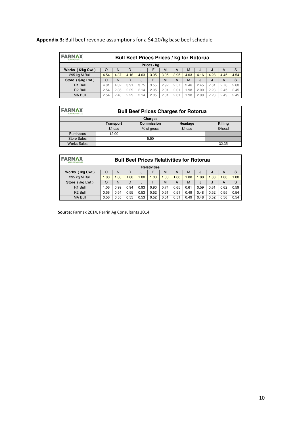| <b>FARMAX</b><br>YOUR ADVANTAGE |          | <b>Bull Beef Prices Prices / kg for Rotorua</b> |      |      |      |      |      |      |      |      |      |      |
|---------------------------------|----------|-------------------------------------------------|------|------|------|------|------|------|------|------|------|------|
| Prices / kg                     |          |                                                 |      |      |      |      |      |      |      |      |      |      |
| Works (\$/kg Cwt)               | O        | N                                               | D    | IJ   | F    | M    | A    | M    | IJ   | IJ   | A    | S    |
| 295 kg M Bull                   | 4.54     | 4.37                                            | 4.16 | 4.03 | 3.95 | 3.95 | 3.95 | 4.03 | 4.16 | 4.28 | 4.45 | 4.54 |
| Store (\$/kg Lwt)               | $\Omega$ | N                                               | D    | J    | F    | M    | A    | M    | J    | J    | A    | S    |
| R1 Bull                         | 4.81     | 4.32                                            | 3.91 | 3.75 | 3.55 | 2.92 | 2.57 | 2.46 | 2.45 | 2.61 | 2.76 | 2.68 |
| R <sub>2</sub> Bull             | 2.54     | 2.36                                            | 2.29 | 2.14 | 2.05 | 2.01 | 2.01 | 1.98 | 2.00 | 2.23 | 2.45 | 2.45 |
| <b>MA Bull</b>                  | 2.54     | 2.40                                            | 2.29 | 2.14 | 2.05 | 2.01 | 2.01 | 1.98 | 2.00 | 2.23 | 2.49 | 2.45 |

## **Appendix 3:** Bull beef revenue assumptions for a \$4.20/kg base beef schedule

| <b>FARMAX</b><br>YOUR ADVANTAGE | <b>Bull Beef Prices Charges for Rotorua</b> |                   |         |         |  |  |  |  |
|---------------------------------|---------------------------------------------|-------------------|---------|---------|--|--|--|--|
|                                 |                                             | <b>Charges</b>    |         |         |  |  |  |  |
|                                 | <b>Transport</b>                            | <b>Commission</b> | Headage | Killing |  |  |  |  |
|                                 | \$/head                                     | % of gross        | \$/head | \$/head |  |  |  |  |
| Purchases                       | 12.00                                       |                   |         |         |  |  |  |  |
| <b>Store Sales</b>              |                                             | 5.50              |         |         |  |  |  |  |
| <b>Works Sales</b>              |                                             |                   |         | 32.35   |  |  |  |  |

| <b>FARMAX</b><br>YOUR ADVANTAGE | <b>Bull Beef Prices Relativities for Rotorua</b> |      |      |      |      |      |      |      |      |      |      |      |
|---------------------------------|--------------------------------------------------|------|------|------|------|------|------|------|------|------|------|------|
| <b>Relativities</b>             |                                                  |      |      |      |      |      |      |      |      |      |      |      |
| Works (/kg Cwt)                 | $\Omega$                                         | N    | D    | IJ   | F    | M    | A    | M    | J    | IJ   | А    | S    |
| 295 kg M Bull                   | .00                                              | 1.00 | 1.00 | 1.00 | 1.00 | 1.00 | 1.00 | 1.00 | 1.00 | 1.00 | 1.00 | 1.00 |
| Store (/kg Lwt)                 | $\Omega$                                         | N    | D    | IJ   | F    | M    | A    | M    | J    | J    | A    | S    |
| R1 Bull                         | .06                                              | 0.99 | 0.94 | 0.93 | 0.90 | 0.74 | 0.65 | 0.61 | 0.59 | 0.61 | 0.62 | 0.59 |
| R <sub>2</sub> Bull             | 0.56                                             | 0.54 | 0.55 | 0.53 | 0.52 | 0.51 | 0.51 | 0.49 | 0.48 | 0.52 | 0.55 | 0.54 |
| <b>MA Bull</b>                  | 0.56                                             | 0.55 | 0.55 | 0.53 | 0.52 | 0.51 | 0.51 | 0.49 | 0.48 | 0.52 | 0.56 | 0.54 |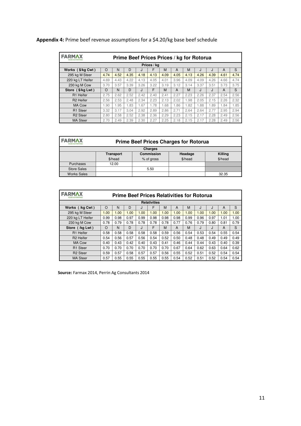| <b>FARMAX</b><br><b>YOUR ADVANTAGE</b> |             |      |      |      |      | Prime Beef Prices Prices / kg for Rotorua |      |      |      |      |      |      |
|----------------------------------------|-------------|------|------|------|------|-------------------------------------------|------|------|------|------|------|------|
|                                        | Prices / kg |      |      |      |      |                                           |      |      |      |      |      |      |
| Works (\$/kg Cwt)                      | $\Omega$    | N    | D    | J    | F    | M                                         | A    | м    | J    | J    | A    | S    |
| 295 kg M Steer                         | 4.74        | 4.52 | 4.35 | 4.18 | 4.13 | 4.09                                      | 4.05 | 4.13 | 4.26 | 4.39 | 4.61 | 4.74 |
| 220 kg LT Heifer                       | 4.69        | 4.43 | 4.22 | 4.13 | 4.05 | 4.01                                      | 3.96 | 4.09 | 4.09 | 4.26 | 4.66 | 4.74 |
| 230 kg M Cow                           | 3.70        | 3.57 | 3.39 | 3.26 | 3.22 | 3.19                                      | 3.12 | 3.14 | 3.37 | 3.51 | 3.73 | 3.75 |
| Store (\$/kg Lwt)                      | $\Omega$    | N    | D    | J.   | F    | M                                         | A    | M    | J.   | J    | A    | S    |
| R1 Heifer                              | 2.75        | 2.62 | 2.52 | 2.42 | 2.40 | 2.41                                      | 2.27 | 2.23 | 2.26 | 2.37 | 2.54 | 2.56 |
| R <sub>2</sub> Heifer                  | 2.56        | 2.53 | 2.48 | 2.34 | 2.23 | 2.13                                      | 2.02 | 1.98 | 2.05 | 2.15 | 2.26 | 2.32 |
| <b>MA Cow</b>                          | 1.90        | 1.95 | 1.83 | 1.67 | 1.78 | 1.68                                      | 1.86 | 1.82 | 1.88 | 1.89 | 1.84 | 1.85 |
| R1 Steer                               | 3.32        | 3.17 | 3.04 | 2.92 | 2.89 | 2.86                                      | 2.71 | 2.64 | 2.64 | 2.77 | 2.95 | 2.94 |
| R <sub>2</sub> Steer                   | 2.80        | 2.58 | 2.52 | 2.38 | 2.36 | 2.29                                      | 2.23 | 2.15 | 2.17 | 2.28 | 2.49 | 2.56 |
| <b>MA Steer</b>                        | 2.70        | 2.49 | 2.39 | 2.30 | 2.27 | 2.25                                      | 2.18 | 2.15 | 2.17 | 2.28 | 2.49 | 2.56 |

## **Appendix 4:** Prime beef revenue assumptions for a \$4.20/kg base beef schedule

| <b>FARMAX</b><br>YOUR ADVANTAGE | <b>Prime Beef Prices Charges for Rotorua</b> |                   |         |         |  |  |  |  |
|---------------------------------|----------------------------------------------|-------------------|---------|---------|--|--|--|--|
|                                 |                                              | <b>Charges</b>    |         |         |  |  |  |  |
|                                 | <b>Transport</b>                             | <b>Commission</b> | Headage | Killing |  |  |  |  |
|                                 | \$/head                                      | % of gross        | \$/head | \$/head |  |  |  |  |
| Purchases                       | 12.00                                        |                   |         |         |  |  |  |  |
| <b>Store Sales</b>              |                                              | 5.50              |         |         |  |  |  |  |
| <b>Works Sales</b>              |                                              |                   |         | 32.35   |  |  |  |  |

| <b>FARMAX</b><br>YOUR ADVANTAGE |                     | <b>Prime Beef Prices Relativities for Rotorua</b> |      |      |      |      |      |      |      |      |      |      |
|---------------------------------|---------------------|---------------------------------------------------|------|------|------|------|------|------|------|------|------|------|
|                                 | <b>Relativities</b> |                                                   |      |      |      |      |      |      |      |      |      |      |
| Works (/kg Cwt)                 | $\circ$             | N                                                 | D    | J    | F    | M    | A    | M    | J    | J    | A    | S    |
| 295 kg M Steer                  | 1.00                | 1.00                                              | 1.00 | 1.00 | 1.00 | 1.00 | 1.00 | 1.00 | 1.00 | 1.00 | 1.00 | 1.00 |
| 220 kg LT Heifer                | 0.99                | 0.98                                              | 0.97 | 0.99 | 0.98 | 0.98 | 0.98 | 0.99 | 0.96 | 0.97 | 1.01 | 1.00 |
| 230 kg M Cow                    | 0.78                | 0.79                                              | 0.78 | 0.78 | 0.78 | 0.78 | 0.77 | 0.76 | 0.79 | 0.80 | 0.81 | 0.79 |
| Store (/kg Lwt)                 | $\Omega$            | N                                                 | D    | J    | F    | M    | A    | M    | J.   | J    | A    | S    |
| R1 Heifer                       | 0.58                | 0.58                                              | 0.58 | 0.58 | 0.58 | 0.59 | 0.56 | 0.54 | 0.53 | 0.54 | 0.55 | 0.54 |
| R <sub>2</sub> Heifer           | 0.54                | 0.56                                              | 0.57 | 0.56 | 0.54 | 0.52 | 0.50 | 0.48 | 0.48 | 0.49 | 0.49 | 0.49 |
| <b>MA Cow</b>                   | 0.40                | 0.43                                              | 0.42 | 0.40 | 0.43 | 0.41 | 0.46 | 0.44 | 0.44 | 0.43 | 0.40 | 0.39 |
| R <sub>1</sub> Steer            | 0.70                | 0.70                                              | 0.70 | 0.70 | 0.70 | 0.70 | 0.67 | 0.64 | 0.62 | 0.63 | 0.64 | 0.62 |
| R <sub>2</sub> Steer            | 0.59                | 0.57                                              | 0.58 | 0.57 | 0.57 | 0.56 | 0.55 | 0.52 | 0.51 | 0.52 | 0.54 | 0.54 |
| <b>MA Steer</b>                 | 0.57                | 0.55                                              | 0.55 | 0.55 | 0.55 | 0.55 | 0.54 | 0.52 | 0.51 | 0.52 | 0.54 | 0.54 |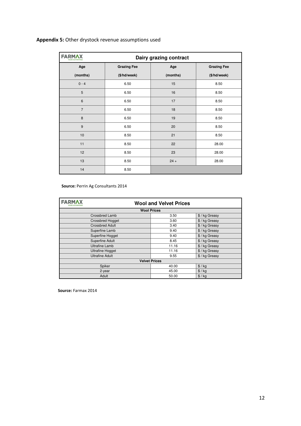## **Appendix 5:** Other drystock revenue assumptions used

| <b>FARMAX</b><br>YOUR ADVANTAGE |                    | Dairy grazing contract |                    |
|---------------------------------|--------------------|------------------------|--------------------|
| Age                             | <b>Grazing Fee</b> | Age                    | <b>Grazing Fee</b> |
| (months)                        | (\$/hd/week)       | (months)               | (\$/hd/week)       |
| $0 - 4$                         | 6.50               | 15                     | 8.50               |
| 5                               | 6.50               | 16                     | 8.50               |
| $6\phantom{1}$                  | 6.50               | 17                     | 8.50               |
| $\overline{7}$                  | 6.50               | 18                     | 8.50               |
| 8                               | 6.50               | 19                     | 8.50               |
| 9                               | 6.50               | 20                     | 8.50               |
| 10                              | 8.50               | 21                     | 8.50               |
| 11                              | 8.50               | 22                     | 28.00              |
| 12                              | 8.50               | 23                     | 28.00              |
| 13                              | 8.50               | $24 +$                 | 28.00              |
| 14                              | 8.50               |                        |                    |

#### **Source:** Perrin Ag Consultants 2014

| <b>FARMAX</b>           | <b>Wool and Velvet Prices</b> |              |  |  |  |  |
|-------------------------|-------------------------------|--------------|--|--|--|--|
|                         | <b>Wool Prices</b>            |              |  |  |  |  |
| Crossbred Lamb          | 3.50                          | \$/kg Greasy |  |  |  |  |
| <b>Crossbred Hogget</b> | 3.60                          | \$/kg Greasy |  |  |  |  |
| <b>Crossbred Adult</b>  | 3.40                          | \$/kg Greasy |  |  |  |  |
| Superfine Lamb          | 9.40                          | \$/kg Greasy |  |  |  |  |
| Superfine Hogget        | 9.40                          | \$/kg Greasy |  |  |  |  |
| Superfine Adult         | 8.45                          | \$/kg Greasy |  |  |  |  |
| <b>Ultrafine Lamb</b>   | 11.16                         | \$/kg Greasy |  |  |  |  |
| <b>Ultrafine Hogget</b> | 11.16                         | \$/kg Greasy |  |  |  |  |
| <b>Ultrafine Adult</b>  | 9.55                          | \$/kg Greasy |  |  |  |  |
|                         | <b>Velvet Prices</b>          |              |  |  |  |  |
| Spiker                  | 40.00                         | \$ / kg      |  |  |  |  |
| 2-year                  | 45.00                         | $$/$ kg      |  |  |  |  |
| Adult                   | 50.00                         | $$/$ kg      |  |  |  |  |

**Source:** Farmax 2014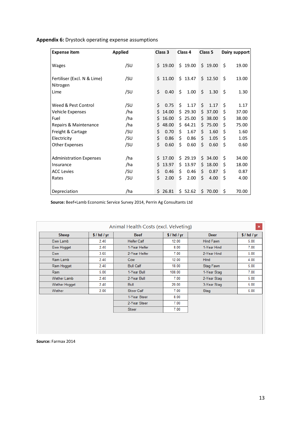## **Appendix 6:** Drystock operating expense assumptions

| <b>Expense item</b>                     | <b>Applied</b> | Class 3     | Class 4     | Class 5      | Dairy support |
|-----------------------------------------|----------------|-------------|-------------|--------------|---------------|
| Wages                                   | /SU            | \$19.00     | \$19.00     | \$19.00      | \$<br>19.00   |
| Fertiliser (Excl. N & Lime)<br>Nitrogen | /SU            | \$11.00     | \$13.47     | \$12.50      | \$<br>13.00   |
| Lime                                    | /SU            | \$<br>0.40  | \$<br>1.00  | \$<br>1.30   | \$<br>1.30    |
| Weed & Pest Control                     | /SU            | \$<br>0.75  | \$<br>1.17  | Ś.<br>1.17   | Ś<br>1.17     |
| Vehicle Expenses                        | /ha            | Ś<br>14.00  | \$29.30     | \$37.00      | \$<br>37.00   |
| Fuel                                    | /ha            | Ś<br>16.00  | \$25.00     | 38.00<br>S.  | \$<br>38.00   |
| Repairs & Maintenance                   | /ha            | Ś<br>48.00  | \$64.21     | \$75.00      | Ś<br>75.00    |
| Freight & Cartage                       | /su            | \$<br>0.70  | Ś.<br>1.67  | Ś.<br>1.60   | Ś<br>1.60     |
| Electricity                             | /SU            | \$<br>0.86  | \$<br>0.86  | \$.<br>1.05  | \$<br>1.05    |
| Other Expenses                          | /SU            | \$<br>0.60  | Ś.<br>0.60  | \$<br>0.60   | \$<br>0.60    |
| <b>Administration Expenses</b>          | /ha            | 17.00<br>Ś  | Ś.<br>29.19 | \$.<br>34.00 | \$<br>34.00   |
| Insurance                               | /ha            | Ś.<br>13.97 | 13.97<br>Ś. | \$18.00      | Ś<br>18.00    |
| <b>ACC Levies</b>                       | /SU            | \$<br>0.46  | Ś.<br>0.46  | Ś.<br>0.87   | \$<br>0.87    |
| Rates                                   | /su            | \$<br>2.00  | \$<br>2.00  | \$<br>4.00   | \$<br>4.00    |
| Depreciation                            | /ha            | \$26.81     | \$52.62     | \$70.00      | \$<br>70.00   |

**Source:** Beef+Lamb Economic Service Survey 2014, Perrin Ag Consultants Ltd

|                    |          | Animal Health Costs (excl. Velveting) |          |             | $\pmb{\times}$ |
|--------------------|----------|---------------------------------------|----------|-------------|----------------|
| <b>Sheep</b>       | \$/hd/yr | <b>Beef</b>                           | \$/hd/yr | <b>Deer</b> | \$/hd/yr       |
| Ewe Lamb           | 2.40     | <b>Heifer Calf</b>                    | 12.00    | Hind Fawn   | 5.00           |
| Ewe Hogget         | 2.40     | 1-Year Heifer                         | 8.00     | 1-Year Hind | 7.00           |
| <b>Ewe</b>         | 3.65     | 2-Year Heifer                         | 7.00     | 2-Year Hind | 5.00           |
| Ram Lamb           | 2.40     | Cow                                   | 12.00    | <b>Hind</b> | 4.00           |
| Ram Hogget         | 2.40     | <b>Bull Calf</b>                      | 18.00    | Stag Fawn   | 5.00           |
| Ram                | 5.00     | 1-Year Bull                           | 108.00   | 1-Year Stag | 7.00           |
| <b>Wether Lamb</b> | 2.40     | 2-Year Bull                           | 7.00     | 2-Year Stag | 5.00           |
| Wether Hogget      | 2.40     | <b>Bull</b>                           | 20.00    | 3-Year Stag | 5.00           |
| Wether             | 2.00     | <b>Steer Calf</b>                     | 7.00     | Stag        | 5.00           |
|                    |          | 1-Year Steer                          | 8.00     |             |                |
|                    |          | 2-Year Steer                          | 7.00     |             |                |
|                    |          | <b>Steer</b>                          | 7.00     |             |                |
|                    |          |                                       |          |             |                |
|                    |          |                                       |          |             |                |
|                    |          |                                       |          |             |                |

**Source:** Farmax 2014